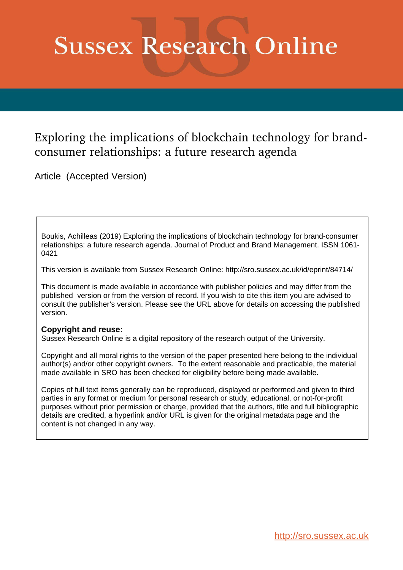# **Sussex Research Online**

## Exploring the implications of blockchain technology for brandconsumer relationships: a future research agenda

Article (Accepted Version)

Boukis, Achilleas (2019) Exploring the implications of blockchain technology for brand-consumer relationships: a future research agenda. Journal of Product and Brand Management. ISSN 1061- 0421

This version is available from Sussex Research Online: http://sro.sussex.ac.uk/id/eprint/84714/

This document is made available in accordance with publisher policies and may differ from the published version or from the version of record. If you wish to cite this item you are advised to consult the publisher's version. Please see the URL above for details on accessing the published version.

#### **Copyright and reuse:**

Sussex Research Online is a digital repository of the research output of the University.

Copyright and all moral rights to the version of the paper presented here belong to the individual author(s) and/or other copyright owners. To the extent reasonable and practicable, the material made available in SRO has been checked for eligibility before being made available.

Copies of full text items generally can be reproduced, displayed or performed and given to third parties in any format or medium for personal research or study, educational, or not-for-profit purposes without prior permission or charge, provided that the authors, title and full bibliographic details are credited, a hyperlink and/or URL is given for the original metadata page and the content is not changed in any way.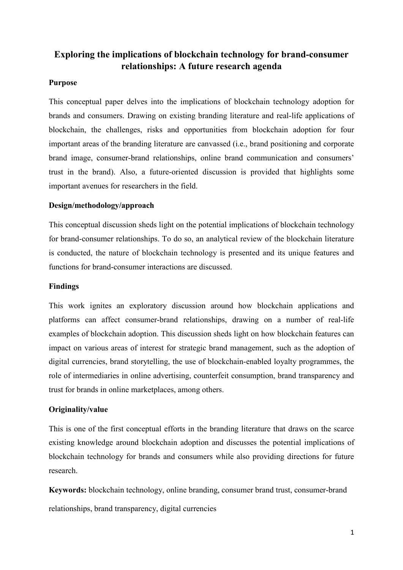### **Exploring the implications of blockchain technology for brand-consumer relationships: A future research agenda**

#### **Purpose**

This conceptual paper delves into the implications of blockchain technology adoption for brands and consumers. Drawing on existing branding literature and real-life applications of blockchain, the challenges, risks and opportunities from blockchain adoption for four important areas of the branding literature are canvassed (i.e., brand positioning and corporate brand image, consumer-brand relationships, online brand communication and consumers' trust in the brand). Also, a future-oriented discussion is provided that highlights some important avenues for researchers in the field.

#### **Design/methodology/approach**

This conceptual discussion sheds light on the potential implications of blockchain technology for brand-consumer relationships. To do so, an analytical review of the blockchain literature is conducted, the nature of blockchain technology is presented and its unique features and functions for brand-consumer interactions are discussed.

#### **Findings**

This work ignites an exploratory discussion around how blockchain applications and platforms can affect consumer-brand relationships, drawing on a number of real-life examples of blockchain adoption. This discussion sheds light on how blockchain features can impact on various areas of interest for strategic brand management, such as the adoption of digital currencies, brand storytelling, the use of blockchain-enabled loyalty programmes, the role of intermediaries in online advertising, counterfeit consumption, brand transparency and trust for brands in online marketplaces, among others.

#### **Originality/value**

This is one of the first conceptual efforts in the branding literature that draws on the scarce existing knowledge around blockchain adoption and discusses the potential implications of blockchain technology for brands and consumers while also providing directions for future research.

**Keywords:** blockchain technology, online branding, consumer brand trust, consumer-brand relationships, brand transparency, digital currencies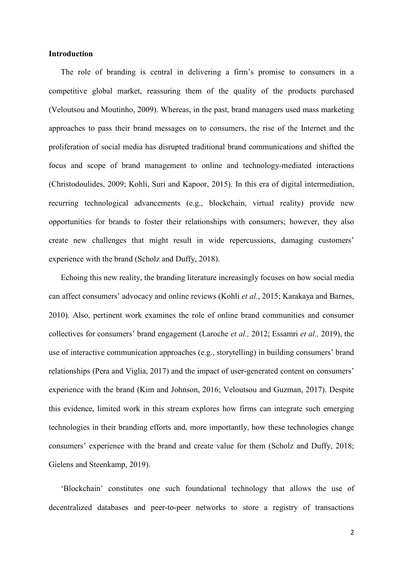#### **Introduction**

The role of branding is central in delivering a firm's promise to consumers in a competitive global market, reassuring them of the quality of the products purchased (Veloutsou and Moutinho, 2009). Whereas, in the past, brand managers used mass marketing approaches to pass their brand messages on to consumers, the rise of the Internet and the proliferation of social media has disrupted traditional brand communications and shifted the focus and scope of brand management to online and technology-mediated interactions (Christodoulides, 2009; Kohli, Suri and Kapoor, 2015). In this era of digital intermediation, recurring technological advancements (e.g., blockchain, virtual reality) provide new opportunities for brands to foster their relationships with consumers; however, they also create new challenges that might result in wide repercussions, damaging customers' experience with the brand (Scholz and Duffy, 2018).

Echoing this new reality, the branding literature increasingly focuses on how social media can affect consumers' advocacy and online reviews (Kohli *et al.*, 2015; Karakaya and Barnes, 2010). Also, pertinent work examines the role of online brand communities and consumer collectives for consumers' brand engagement (Laroche *et al.,* 2012; Essamri *et al.,* 2019), the use of interactive communication approaches (e.g., storytelling) in building consumers' brand relationships (Pera and Viglia, 2017) and the impact of user-generated content on consumers' experience with the brand (Kim and Johnson, 2016; Veloutsou and Guzman, 2017). Despite this evidence, limited work in this stream explores how firms can integrate such emerging technologies in their branding efforts and, more importantly, how these technologies change consumers' experience with the brand and create value for them (Scholz and Duffy, 2018; Gielens and Steenkamp, 2019).

'Blockchain' constitutes one such foundational technology that allows the use of decentralized databases and peer-to-peer networks to store a registry of transactions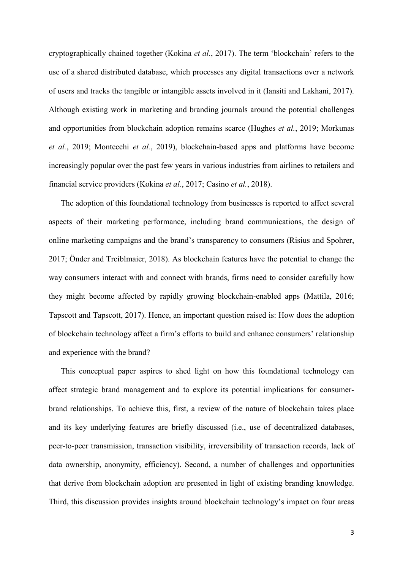cryptographically chained together (Kokina *et al.*, 2017). The term 'blockchain' refers to the use of a shared distributed database, which processes any digital transactions over a network of users and tracks the tangible or intangible assets involved in it (Iansiti and Lakhani, 2017). Although existing work in marketing and branding journals around the potential challenges and opportunities from blockchain adoption remains scarce (Hughes *et al.*, 2019; Morkunas *et al.*, 2019; Montecchi *et al.*, 2019), blockchain-based apps and platforms have become increasingly popular over the past few years in various industries from airlines to retailers and financial service providers (Kokina *et al.*, 2017; Casino *et al.*, 2018).

The adoption of this foundational technology from businesses is reported to affect several aspects of their marketing performance, including brand communications, the design of online marketing campaigns and the brand's transparency to consumers (Risius and Spohrer, 2017; Önder and Treiblmaier, 2018). As blockchain features have the potential to change the way consumers interact with and connect with brands, firms need to consider carefully how they might become affected by rapidly growing blockchain-enabled apps (Mattila, 2016; Tapscott and Tapscott, 2017). Hence, an important question raised is: How does the adoption of blockchain technology affect a firm's efforts to build and enhance consumers' relationship and experience with the brand?

This conceptual paper aspires to shed light on how this foundational technology can affect strategic brand management and to explore its potential implications for consumerbrand relationships. To achieve this, first, a review of the nature of blockchain takes place and its key underlying features are briefly discussed (i.e., use of decentralized databases, peer-to-peer transmission, transaction visibility, irreversibility of transaction records, lack of data ownership, anonymity, efficiency). Second, a number of challenges and opportunities that derive from blockchain adoption are presented in light of existing branding knowledge. Third, this discussion provides insights around blockchain technology's impact on four areas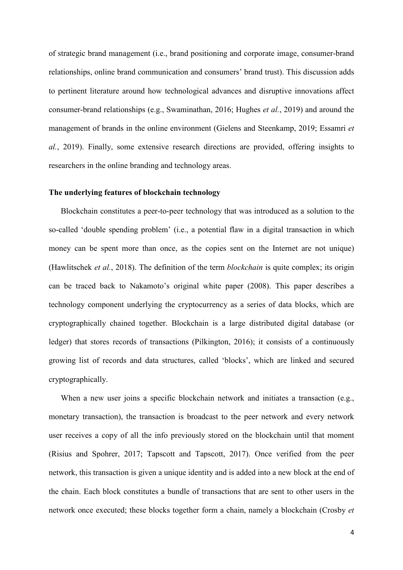of strategic brand management (i.e., brand positioning and corporate image, consumer-brand relationships, online brand communication and consumers' brand trust). This discussion adds to pertinent literature around how technological advances and disruptive innovations affect consumer-brand relationships (e.g., Swaminathan, 2016; Hughes *et al.*, 2019) and around the management of brands in the online environment (Gielens and Steenkamp, 2019; Essamri *et al.*, 2019). Finally, some extensive research directions are provided, offering insights to researchers in the online branding and technology areas.

#### **The underlying features of blockchain technology**

Blockchain constitutes a peer-to-peer technology that was introduced as a solution to the so-called 'double spending problem' (i.e., a potential flaw in a digital transaction in which money can be spent more than once, as the copies sent on the Internet are not unique) (Hawlitschek *et al.*, 2018). The definition of the term *blockchain* is quite complex; its origin can be traced back to Nakamoto's original white paper (2008). This paper describes a technology component underlying the cryptocurrency as a series of data blocks, which are cryptographically chained together. Blockchain is a large distributed digital database (or ledger) that stores records of transactions (Pilkington, 2016); it consists of a continuously growing list of records and data structures, called 'blocks', which are linked and secured cryptographically.

When a new user joins a specific blockchain network and initiates a transaction (e.g., monetary transaction), the transaction is broadcast to the peer network and every network user receives a copy of all the info previously stored on the blockchain until that moment (Risius and Spohrer, 2017; Tapscott and Tapscott, 2017). Once verified from the peer network, this transaction is given a unique identity and is added into a new block at the end of the chain. Each block constitutes a bundle of transactions that are sent to other users in the network once executed; these blocks together form a chain, namely a blockchain (Crosby *et*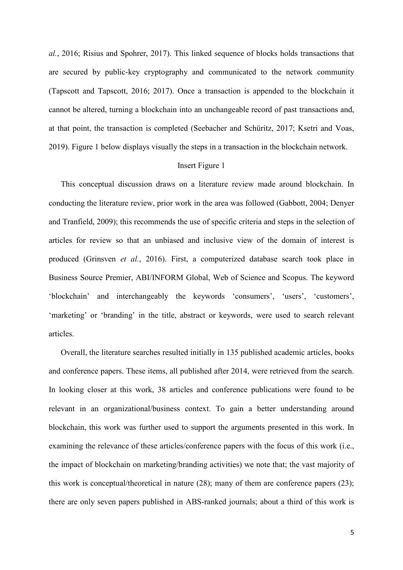*al.*, 2016; Risius and Spohrer, 2017). This linked sequence of blocks holds transactions that are secured by public-key cryptography and communicated to the network community (Tapscott and Tapscott, 2016; 2017). Once a transaction is appended to the blockchain it cannot be altered, turning a blockchain into an unchangeable record of past transactions and, at that point, the transaction is completed (Seebacher and Schüritz, 2017; Ksetri and Voas, 2019). Figure 1 below displays visually the steps in a transaction in the blockchain network.

#### Insert Figure 1

This conceptual discussion draws on a literature review made around blockchain. In conducting the literature review, prior work in the area was followed (Gabbott, 2004; Denyer and Tranfield, 2009); this recommends the use of specific criteria and steps in the selection of articles for review so that an unbiased and inclusive view of the domain of interest is produced (Grinsven *et al.*, 2016). First, a computerized database search took place in Business Source Premier, ABI/INFORM Global, Web of Science and Scopus. The keyword 'blockchain' and interchangeably the keywords 'consumers', 'users', 'customers', 'marketing' or 'branding' in the title, abstract or keywords, were used to search relevant articles.

Overall, the literature searches resulted initially in 135 published academic articles, books and conference papers. These items, all published after 2014, were retrieved from the search. In looking closer at this work, 38 articles and conference publications were found to be relevant in an organizational/business context. To gain a better understanding around blockchain, this work was further used to support the arguments presented in this work. In examining the relevance of these articles/conference papers with the focus of this work (i.e., the impact of blockchain on marketing/branding activities) we note that; the vast majority of this work is conceptual/theoretical in nature (28); many of them are conference papers (23); there are only seven papers published in ABS-ranked journals; about a third of this work is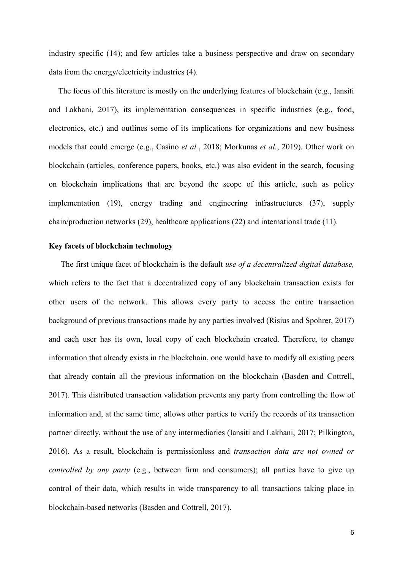industry specific (14); and few articles take a business perspective and draw on secondary data from the energy/electricity industries (4).

The focus of this literature is mostly on the underlying features of blockchain (e.g., Iansiti and Lakhani, 2017), its implementation consequences in specific industries (e.g., food, electronics, etc.) and outlines some of its implications for organizations and new business models that could emerge (e.g., Casino *et al.*, 2018; Morkunas *et al.*, 2019). Other work on blockchain (articles, conference papers, books, etc.) was also evident in the search, focusing on blockchain implications that are beyond the scope of this article, such as policy implementation (19), energy trading and engineering infrastructures (37), supply chain/production networks (29), healthcare applications (22) and international trade (11).

#### **Key facets of blockchain technology**

The first unique facet of blockchain is the default *use of a decentralized digital database,* which refers to the fact that a decentralized copy of any blockchain transaction exists for other users of the network. This allows every party to access the entire transaction background of previous transactions made by any parties involved (Risius and Spohrer, 2017) and each user has its own, local copy of each blockchain created. Therefore, to change information that already exists in the blockchain, one would have to modify all existing peers that already contain all the previous information on the blockchain (Basden and Cottrell, 2017). This distributed transaction validation prevents any party from controlling the flow of information and, at the same time, allows other parties to verify the records of its transaction partner directly, without the use of any intermediaries (Iansiti and Lakhani, 2017; Pilkington, 2016). As a result, blockchain is permissionless and *transaction data are not owned or controlled by any party* (e.g., between firm and consumers); all parties have to give up control of their data, which results in wide transparency to all transactions taking place in blockchain-based networks (Basden and Cottrell, 2017).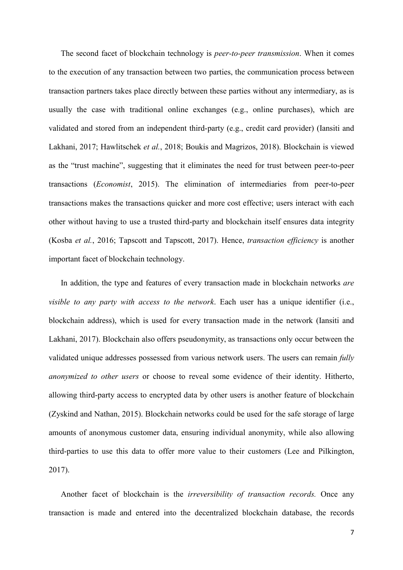The second facet of blockchain technology is *peer-to-peer transmission*. When it comes to the execution of any transaction between two parties, the communication process between transaction partners takes place directly between these parties without any intermediary, as is usually the case with traditional online exchanges (e.g., online purchases), which are validated and stored from an independent third-party (e.g., credit card provider) (Iansiti and Lakhani, 2017; Hawlitschek *et al.*, 2018; Boukis and Magrizos, 2018). Blockchain is viewed as the "trust machine", suggesting that it eliminates the need for trust between peer-to-peer transactions (*Economist*, 2015). The elimination of intermediaries from peer-to-peer transactions makes the transactions quicker and more cost effective; users interact with each other without having to use a trusted third-party and blockchain itself ensures data integrity (Kosba *et al.*, 2016; Tapscott and Tapscott, 2017). Hence, *transaction efficiency* is another important facet of blockchain technology.

In addition, the type and features of every transaction made in blockchain networks *are visible to any party with access to the network*. Each user has a unique identifier (i.e., blockchain address), which is used for every transaction made in the network (Iansiti and Lakhani, 2017). Blockchain also offers pseudonymity, as transactions only occur between the validated unique addresses possessed from various network users. The users can remain *fully anonymized to other users* or choose to reveal some evidence of their identity. Hitherto, allowing third-party access to encrypted data by other users is another feature of blockchain (Zyskind and Nathan, 2015). Blockchain networks could be used for the safe storage of large amounts of anonymous customer data, ensuring individual anonymity, while also allowing third-parties to use this data to offer more value to their customers (Lee and Pilkington, 2017).

Another facet of blockchain is the *irreversibility of transaction records.* Once any transaction is made and entered into the decentralized blockchain database, the records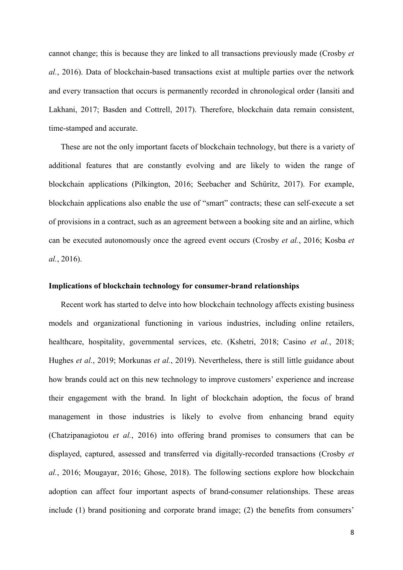cannot change; this is because they are linked to all transactions previously made (Crosby *et al.*, 2016). Data of blockchain-based transactions exist at multiple parties over the network and every transaction that occurs is permanently recorded in chronological order (Iansiti and Lakhani, 2017; Basden and Cottrell, 2017). Therefore, blockchain data remain consistent, time-stamped and accurate.

These are not the only important facets of blockchain technology, but there is a variety of additional features that are constantly evolving and are likely to widen the range of blockchain applications (Pilkington, 2016; Seebacher and Schüritz, 2017). For example, blockchain applications also enable the use of "smart" contracts; these can self-execute a set of provisions in a contract, such as an agreement between a booking site and an airline, which can be executed autonomously once the agreed event occurs (Crosby *et al.*, 2016; Kosba *et al.*, 2016).

#### **Implications of blockchain technology for consumer-brand relationships**

Recent work has started to delve into how blockchain technology affects existing business models and organizational functioning in various industries, including online retailers, healthcare, hospitality, governmental services, etc. (Kshetri, 2018; Casino *et al.*, 2018; Hughes *et al.*, 2019; Morkunas *et al.*, 2019). Nevertheless, there is still little guidance about how brands could act on this new technology to improve customers' experience and increase their engagement with the brand. In light of blockchain adoption, the focus of brand management in those industries is likely to evolve from enhancing brand equity (Chatzipanagiotou *et al.*, 2016) into offering brand promises to consumers that can be displayed, captured, assessed and transferred via digitally-recorded transactions (Crosby *et al.*, 2016; Mougayar, 2016; Ghose, 2018). The following sections explore how blockchain adoption can affect four important aspects of brand-consumer relationships. These areas include (1) brand positioning and corporate brand image; (2) the benefits from consumers'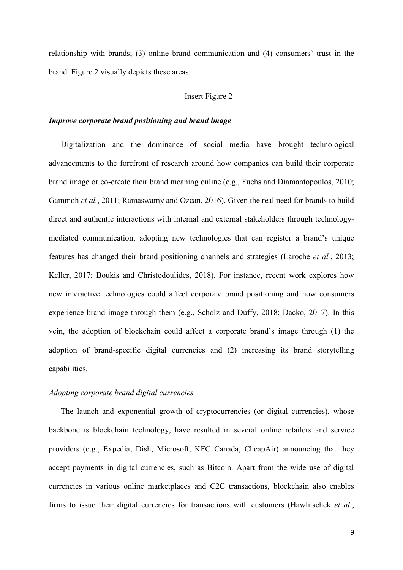relationship with brands; (3) online brand communication and (4) consumers' trust in the brand. Figure 2 visually depicts these areas.

#### Insert Figure 2

#### *Improve corporate brand positioning and brand image*

Digitalization and the dominance of social media have brought technological advancements to the forefront of research around how companies can build their corporate brand image or co-create their brand meaning online (e.g., Fuchs and Diamantopoulos, 2010; Gammoh *et al.*, 2011; Ramaswamy and Ozcan, 2016). Given the real need for brands to build direct and authentic interactions with internal and external stakeholders through technologymediated communication, adopting new technologies that can register a brand's unique features has changed their brand positioning channels and strategies (Laroche *et al.*, 2013; Keller, 2017; Boukis and Christodoulides, 2018). For instance, recent work explores how new interactive technologies could affect corporate brand positioning and how consumers experience brand image through them (e.g., Scholz and Duffy, 2018; Dacko, 2017). In this vein, the adoption of blockchain could affect a corporate brand's image through (1) the adoption of brand-specific digital currencies and (2) increasing its brand storytelling capabilities.

#### *Adopting corporate brand digital currencies*

The launch and exponential growth of cryptocurrencies (or digital currencies), whose backbone is blockchain technology, have resulted in several online retailers and service providers (e.g., Expedia, Dish, Microsoft, KFC Canada, CheapAir) announcing that they accept payments in digital currencies, such as Bitcoin. Apart from the wide use of digital currencies in various online marketplaces and C2C transactions, blockchain also enables firms to issue their digital currencies for transactions with customers (Hawlitschek *et al.*,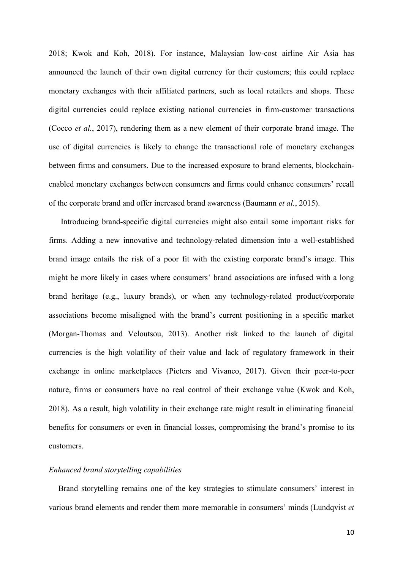2018; Kwok and Koh, 2018). For instance, Malaysian low-cost airline Air Asia has announced the launch of their own digital currency for their customers; this could replace monetary exchanges with their affiliated partners, such as local retailers and shops. These digital currencies could replace existing national currencies in firm-customer transactions (Cocco *et al.*, 2017), rendering them as a new element of their corporate brand image. The use of digital currencies is likely to change the transactional role of monetary exchanges between firms and consumers. Due to the increased exposure to brand elements, blockchainenabled monetary exchanges between consumers and firms could enhance consumers' recall of the corporate brand and offer increased brand awareness (Baumann *et al.*, 2015).

Introducing brand-specific digital currencies might also entail some important risks for firms. Adding a new innovative and technology-related dimension into a well-established brand image entails the risk of a poor fit with the existing corporate brand's image. This might be more likely in cases where consumers' brand associations are infused with a long brand heritage (e.g., luxury brands), or when any technology-related product/corporate associations become misaligned with the brand's current positioning in a specific market (Morgan-Thomas and Veloutsou, 2013). Another risk linked to the launch of digital currencies is the high volatility of their value and lack of regulatory framework in their exchange in online marketplaces (Pieters and Vivanco, 2017). Given their peer-to-peer nature, firms or consumers have no real control of their exchange value (Kwok and Koh, 2018). As a result, high volatility in their exchange rate might result in eliminating financial benefits for consumers or even in financial losses, compromising the brand's promise to its customers.

#### *Enhanced brand storytelling capabilities*

Brand storytelling remains one of the key strategies to stimulate consumers' interest in various brand elements and render them more memorable in consumers' minds (Lundqvist *et*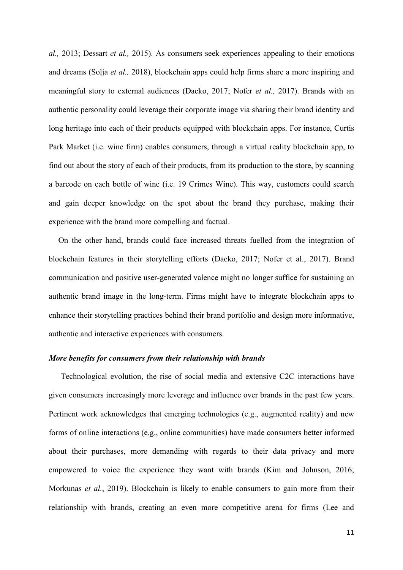*al.,* 2013; Dessart *et al.,* 2015). As consumers seek experiences appealing to their emotions and dreams (Solja *et al.,* 2018), blockchain apps could help firms share a more inspiring and meaningful story to external audiences (Dacko, 2017; Nofer *et al.,* 2017). Brands with an authentic personality could leverage their corporate image via sharing their brand identity and long heritage into each of their products equipped with blockchain apps. For instance, Curtis Park Market (i.e. wine firm) enables consumers, through a virtual reality blockchain app, to find out about the story of each of their products, from its production to the store, by scanning a barcode on each bottle of wine (i.e. 19 Crimes Wine). This way, customers could search and gain deeper knowledge on the spot about the brand they purchase, making their experience with the brand more compelling and factual.

On the other hand, brands could face increased threats fuelled from the integration of blockchain features in their storytelling efforts (Dacko, 2017; Nofer et al., 2017). Brand communication and positive user-generated valence might no longer suffice for sustaining an authentic brand image in the long-term. Firms might have to integrate blockchain apps to enhance their storytelling practices behind their brand portfolio and design more informative, authentic and interactive experiences with consumers.

#### *More benefits for consumers from their relationship with brands*

Technological evolution, the rise of social media and extensive C2C interactions have given consumers increasingly more leverage and influence over brands in the past few years. Pertinent work acknowledges that emerging technologies (e.g., augmented reality) and new forms of online interactions (e.g., online communities) have made consumers better informed about their purchases, more demanding with regards to their data privacy and more empowered to voice the experience they want with brands (Kim and Johnson, 2016; Morkunas *et al.*, 2019). Blockchain is likely to enable consumers to gain more from their relationship with brands, creating an even more competitive arena for firms (Lee and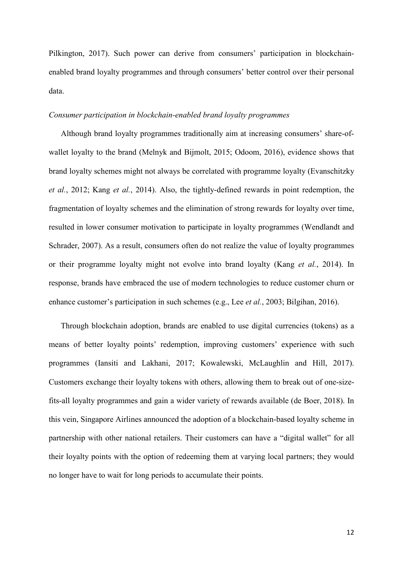Pilkington, 2017). Such power can derive from consumers' participation in blockchainenabled brand loyalty programmes and through consumers' better control over their personal data.

#### *Consumer participation in blockchain-enabled brand loyalty programmes*

Although brand loyalty programmes traditionally aim at increasing consumers' share-ofwallet loyalty to the brand (Melnyk and Bijmolt, 2015; Odoom, 2016), evidence shows that brand loyalty schemes might not always be correlated with programme loyalty (Evanschitzky *et al.*, 2012; Kang *et al.*, 2014). Also, the tightly-defined rewards in point redemption, the fragmentation of loyalty schemes and the elimination of strong rewards for loyalty over time, resulted in lower consumer motivation to participate in loyalty programmes (Wendlandt and Schrader, 2007). As a result, consumers often do not realize the value of loyalty programmes or their programme loyalty might not evolve into brand loyalty (Kang *et al.*, 2014). In response, brands have embraced the use of modern technologies to reduce customer churn or enhance customer's participation in such schemes (e.g., Lee *et al.*, 2003; Bilgihan, 2016).

Through blockchain adoption, brands are enabled to use digital currencies (tokens) as a means of better loyalty points' redemption, improving customers' experience with such programmes (Iansiti and Lakhani, 2017; Kowalewski, McLaughlin and Hill, 2017). Customers exchange their loyalty tokens with others, allowing them to break out of one-sizefits-all loyalty programmes and gain a wider variety of rewards available (de Boer, 2018). In this vein, Singapore Airlines announced the adoption of a blockchain-based loyalty scheme in partnership with other national retailers. Their customers can have a "digital wallet" for all their loyalty points with the option of redeeming them at varying local partners; they would no longer have to wait for long periods to accumulate their points.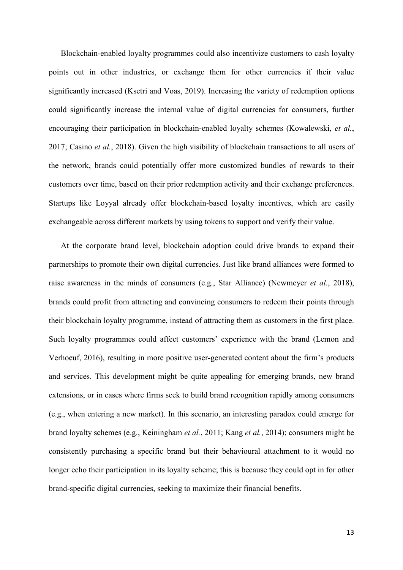Blockchain-enabled loyalty programmes could also incentivize customers to cash loyalty points out in other industries, or exchange them for other currencies if their value significantly increased (Ksetri and Voas, 2019). Increasing the variety of redemption options could significantly increase the internal value of digital currencies for consumers, further encouraging their participation in blockchain-enabled loyalty schemes (Kowalewski, *et al.*, 2017; Casino *et al.*, 2018). Given the high visibility of blockchain transactions to all users of the network, brands could potentially offer more customized bundles of rewards to their customers over time, based on their prior redemption activity and their exchange preferences. Startups like [Loyyal](https://www.cbinsights.com/company/ribbitme) already offer blockchain-based loyalty incentives, which are easily exchangeable across different markets by using tokens to support and verify their value.

At the corporate brand level, blockchain adoption could drive brands to expand their partnerships to promote their own digital currencies. Just like brand alliances were formed to raise awareness in the minds of consumers (e.g., Star Alliance) (Newmeyer *et al.*, 2018), brands could profit from attracting and convincing consumers to redeem their points through their blockchain loyalty programme, instead of attracting them as customers in the first place. Such loyalty programmes could affect customers' experience with the brand (Lemon and Verhoeuf, 2016), resulting in more positive user-generated content about the firm's products and services. This development might be quite appealing for emerging brands, new brand extensions, or in cases where firms seek to build brand recognition rapidly among consumers (e.g., when entering a new market). In this scenario, an interesting paradox could emerge for brand loyalty schemes (e.g., Keiningham *et al.*, 2011; Kang *et al.*, 2014); consumers might be consistently purchasing a specific brand but their behavioural attachment to it would no longer echo their participation in its loyalty scheme; this is because they could opt in for other brand-specific digital currencies, seeking to maximize their financial benefits.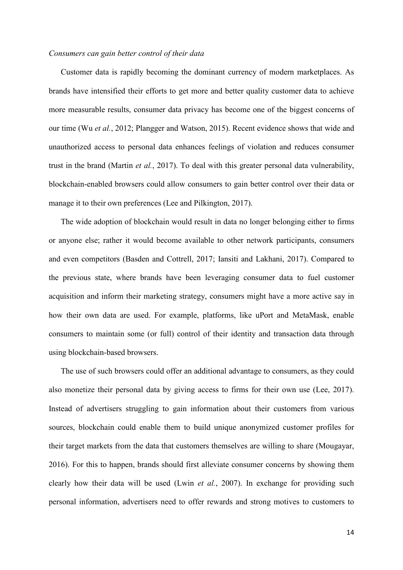#### *Consumers can gain better control of their data*

Customer data is rapidly becoming the dominant currency of modern marketplaces. As brands have intensified their efforts to get more and better quality customer data to achieve more measurable results, consumer data privacy has become one of the biggest concerns of our time (Wu *et al.*, 2012; Plangger and Watson, 2015). Recent evidence shows that wide and unauthorized access to personal data enhances feelings of violation and reduces consumer trust in the brand (Martin *et al.*, 2017). To deal with this greater personal data vulnerability, blockchain-enabled browsers could allow consumers to gain better control over their data or manage it to their own preferences (Lee and Pilkington, 2017).

The wide adoption of blockchain would result in data no longer belonging either to firms or anyone else; rather it would become available to other network participants, consumers and even competitors (Basden and Cottrell, 2017; Iansiti and Lakhani, 2017). Compared to the previous state, where brands have been leveraging consumer data to fuel customer acquisition and inform their marketing strategy, consumers might have a more active say in how their own data are used. For example, platforms, like uPort and MetaMask, enable consumers to maintain some (or full) control of their identity and transaction data through using blockchain-based browsers.

The use of such browsers could offer an additional advantage to consumers, as they could also monetize their personal data by giving access to firms for their own use (Lee, 2017). Instead of advertisers struggling to gain information about their customers from various sources, blockchain could enable them to build unique anonymized customer profiles for their target markets from the data that customers themselves are willing to share (Mougayar, 2016). For this to happen, brands should first alleviate consumer concerns by showing them clearly how their data will be used (Lwin *et al.*, 2007). In exchange for providing such personal information, advertisers need to offer rewards and strong motives to customers to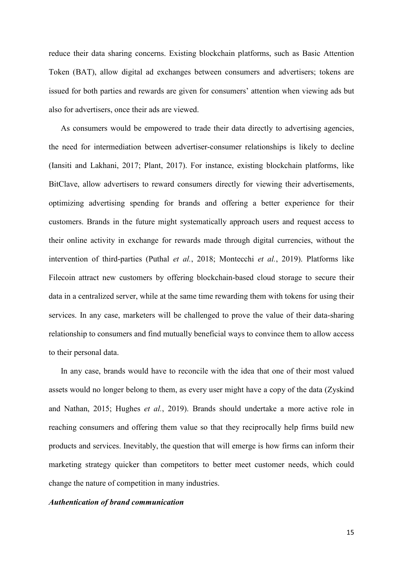reduce their data sharing concerns. Existing blockchain platforms, such as Basic Attention Token (BAT), allow digital ad exchanges between consumers and advertisers; tokens are issued for both parties and rewards are given for consumers' attention when viewing ads but also for advertisers, once their ads are viewed.

As consumers would be empowered to trade their data directly to advertising agencies, the need for intermediation between advertiser-consumer relationships is likely to decline (Iansiti and Lakhani, 2017; Plant, 2017). For instance, existing blockchain platforms, like BitClave, allow advertisers to reward consumers directly for viewing their advertisements, optimizing advertising spending for brands and offering a better experience for their customers. Brands in the future might systematically approach users and request access to their online activity in exchange for rewards made through digital currencies, without the intervention of third-parties (Puthal *et al.*, 2018; Montecchi *et al.*, 2019). Platforms like Filecoin attract new customers by offering blockchain-based cloud storage to secure their data in a centralized server, while at the same time rewarding them with tokens for using their services. In any case, marketers will be challenged to prove the value of their data-sharing relationship to consumers and find mutually beneficial ways to convince them to allow access to their personal data.

In any case, brands would have to reconcile with the idea that one of their most valued assets would no longer belong to them, as every user might have a copy of the data (Zyskind and Nathan, 2015; Hughes *et al.*, 2019). Brands should undertake a more active role in reaching consumers and offering them value so that they reciprocally help firms build new products and services. Inevitably, the question that will emerge is how firms can inform their marketing strategy quicker than competitors to better meet customer needs, which could change the nature of competition in many industries.

#### *Authentication of brand communication*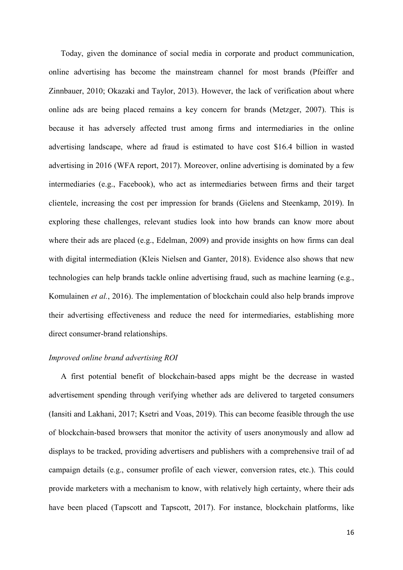Today, given the dominance of social media in corporate and product communication, online advertising has become the mainstream channel for most brands (Pfeiffer and Zinnbauer, 2010; Okazaki and Taylor, 2013). However, the lack of verification about where online ads are being placed remains a key concern for brands (Metzger, 2007). This is because it has adversely affected trust among firms and intermediaries in the online advertising landscape, where ad fraud is estimated to have cost \$16.4 billion in wasted advertising in 2016 (WFA report, 2017). Moreover, online advertising is dominated by a few intermediaries (e.g., Facebook), who act as intermediaries between firms and their target clientele, increasing the cost per impression for brands (Gielens and Steenkamp, 2019). In exploring these challenges, relevant studies look into how brands can know more about where their ads are placed (e.g., Edelman, 2009) and provide insights on how firms can deal with digital intermediation (Kleis Nielsen and Ganter, 2018). Evidence also shows that new technologies can help brands tackle online advertising fraud, such as machine learning (e.g., Komulainen *et al.*, 2016). The implementation of blockchain could also help brands improve their advertising effectiveness and reduce the need for intermediaries, establishing more direct consumer-brand relationships.

#### *Improved online brand advertising ROI*

A first potential benefit of blockchain-based apps might be the decrease in wasted advertisement spending through verifying whether ads are delivered to targeted consumers (Iansiti and Lakhani, 2017; Ksetri and Voas, 2019). This can become feasible through the use of blockchain-based browsers that monitor the activity of users anonymously and allow ad displays to be tracked, providing advertisers and publishers with a comprehensive trail of ad campaign details (e.g., consumer profile of each viewer, conversion rates, etc.). This could provide marketers with a mechanism to know, with relatively high certainty, where their ads have been placed (Tapscott and Tapscott, 2017). For instance, blockchain platforms, like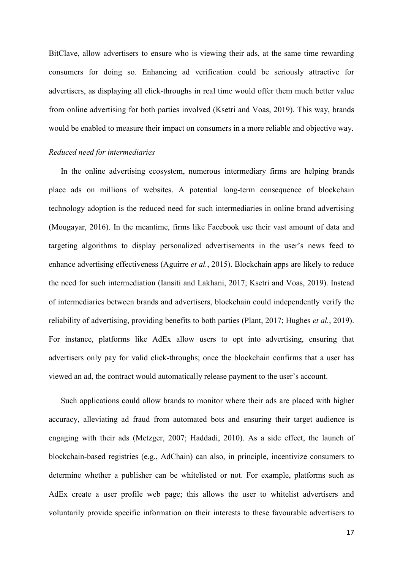BitClave, allow advertisers to ensure who is viewing their ads, at the same time rewarding consumers for doing so. Enhancing ad verification could be seriously attractive for advertisers, as displaying all click-throughs in real time would offer them much better value from online advertising for both parties involved (Ksetri and Voas, 2019). This way, brands would be enabled to measure their impact on consumers in a more reliable and objective way.

#### *Reduced need for intermediaries*

In the online advertising ecosystem, numerous intermediary firms are helping brands place ads on millions of websites. A potential long-term consequence of blockchain technology adoption is the reduced need for such intermediaries in online brand advertising (Mougayar, 2016). In the meantime, firms like Facebook use their vast amount of data and targeting algorithms to display personalized advertisements in the user's news feed to enhance advertising effectiveness (Aguirre *et al.*, 2015). Blockchain apps are likely to reduce the need for such intermediation (Iansiti and Lakhani, 2017; Ksetri and Voas, 2019). Instead of intermediaries between brands and advertisers, blockchain could independently verify the reliability of advertising, providing benefits to both parties (Plant, 2017; Hughes *et al.*, 2019). For instance, platforms like AdEx allow users to opt into advertising, ensuring that advertisers only pay for valid click-throughs; once the blockchain confirms that a user has viewed an ad, the contract would automatically release payment to the user's account.

Such applications could allow brands to monitor where their ads are placed with higher accuracy, alleviating ad fraud from automated bots and ensuring their target audience is engaging with their ads (Metzger, 2007; Haddadi, 2010). As a side effect, the launch of blockchain-based registries (e.g., AdChain) can also, in principle, incentivize consumers to determine whether a publisher can be whitelisted or not. For example, platforms such as AdEx create a user profile web page; this allows the user to whitelist advertisers and voluntarily provide specific information on their interests to these favourable advertisers to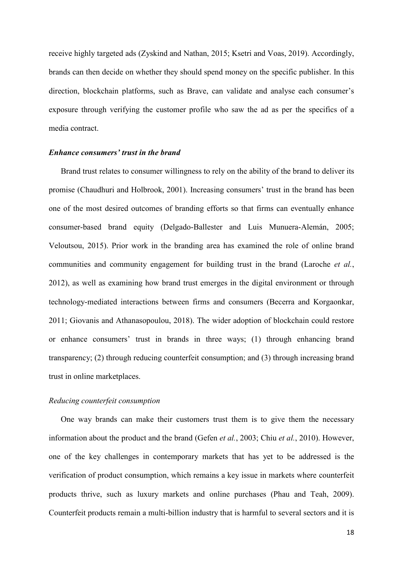receive highly targeted ads (Zyskind and Nathan, 2015; Ksetri and Voas, 2019). Accordingly, brands can then decide on whether they should spend money on the specific publisher. In this direction, blockchain platforms, such as Brave, can validate and analyse each consumer's exposure through verifying the customer profile who saw the ad as per the specifics of a media contract.

#### *Enhance consumers' trust in the brand*

Brand trust relates to consumer willingness to rely on the ability of the brand to deliver its promise (Chaudhuri and Holbrook, 2001). Increasing consumers' trust in the brand has been one of the most desired outcomes of branding efforts so that firms can eventually enhance consumer-based brand equity (Delgado-Ballester and Luis Munuera-Alemán, 2005; Veloutsou, 2015). Prior work in the branding area has examined the role of online brand communities and community engagement for building trust in the brand (Laroche *et al.*, 2012), as well as examining how brand trust emerges in the digital environment or through technology-mediated interactions between firms and consumers (Becerra and Korgaonkar, 2011; Giovanis and Athanasopoulou, 2018). The wider adoption of blockchain could restore or enhance consumers' trust in brands in three ways; (1) through enhancing brand transparency; (2) through reducing counterfeit consumption; and (3) through increasing brand trust in online marketplaces.

#### *Reducing counterfeit consumption*

One way brands can make their customers trust them is to give them the necessary information about the product and the brand (Gefen *et al.*, 2003; Chiu *et al.*, 2010). However, one of the key challenges in contemporary markets that has yet to be addressed is the verification of product consumption, which remains a key issue in markets where counterfeit products thrive, such as luxury markets and online purchases (Phau and Teah, 2009). Counterfeit products remain a multi-billion industry that is harmful to several sectors and it is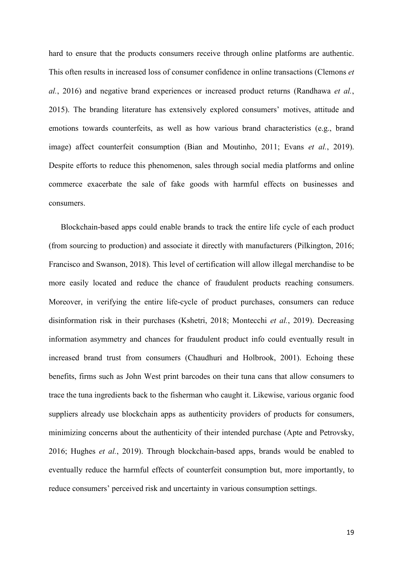hard to ensure that the products consumers receive through online platforms are authentic. This often results in increased loss of consumer confidence in online transactions (Clemons *et al.*, 2016) and negative brand experiences or increased product returns (Randhawa *et al.*, 2015). The branding literature has extensively explored consumers' motives, attitude and emotions towards counterfeits, as well as how various brand characteristics (e.g., brand image) affect counterfeit consumption (Bian and Moutinho, 2011; Evans *et al.*, 2019). Despite efforts to reduce this phenomenon, sales through social media platforms and online commerce exacerbate the sale of fake goods with harmful effects on businesses and consumers.

Blockchain-based apps could enable brands to track the entire life cycle of each product (from sourcing to production) and associate it directly with manufacturers (Pilkington, 2016; Francisco and Swanson, 2018). This level of certification will allow illegal merchandise to be more easily located and reduce the chance of fraudulent products reaching consumers. Moreover, in verifying the entire life-cycle of product purchases, consumers can reduce disinformation risk in their purchases (Kshetri, 2018; Montecchi *et al.*, 2019). Decreasing information asymmetry and chances for fraudulent product info could eventually result in increased brand trust from consumers (Chaudhuri and Holbrook, 2001). Echoing these benefits, firms such as John West print barcodes on their tuna cans that allow consumers to trace the tuna ingredients back to the fisherman who caught it. Likewise, various organic food suppliers already use blockchain apps as authenticity providers of products for consumers, minimizing concerns about the authenticity of their intended purchase (Apte and Petrovsky, 2016; Hughes *et al.*, 2019). Through blockchain-based apps, brands would be enabled to eventually reduce the harmful effects of counterfeit consumption but, more importantly, to reduce consumers' perceived risk and uncertainty in various consumption settings.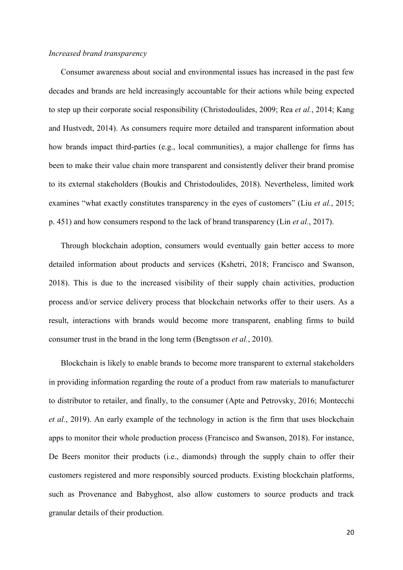#### *Increased brand transparency*

Consumer awareness about social and environmental issues has increased in the past few decades and brands are held increasingly accountable for their actions while being expected to step up their corporate social responsibility (Christodoulides, 2009; Rea *et al.*, 2014; Kang and Hustvedt, 2014). As consumers require more detailed and transparent information about how brands impact third-parties (e.g., local communities), a major challenge for firms has been to make their value chain more transparent and consistently deliver their brand promise to its external stakeholders (Boukis and Christodoulides, 2018). Nevertheless, limited work examines "what exactly constitutes transparency in the eyes of customers" (Liu *et al.*, 2015; p. 451) and how consumers respond to the lack of brand transparency (Lin *et al.*, 2017).

Through blockchain adoption, consumers would eventually gain better access to more detailed information about products and services (Kshetri, 2018; Francisco and Swanson, 2018). This is due to the increased visibility of their supply chain activities, production process and/or service delivery process that blockchain networks offer to their users. As a result, interactions with brands would become more transparent, enabling firms to build consumer trust in the brand in the long term (Bengtsson *et al.*, 2010).

Blockchain is likely to enable brands to become more transparent to external stakeholders in providing information regarding the route of a product from raw materials to manufacturer to distributor to retailer, and finally, to the consumer (Apte and Petrovsky, 2016; Montecchi *et al.*, 2019). An early example of the technology in action is the firm that uses blockchain apps to monitor their whole production process (Francisco and Swanson, 2018). For instance, De Beers monitor their products (i.e., diamonds) through the supply chain to offer their customers registered and more responsibly sourced products. Existing blockchain platforms, such as Provenance and Babyghost, also allow customers to source products and track granular details of their production.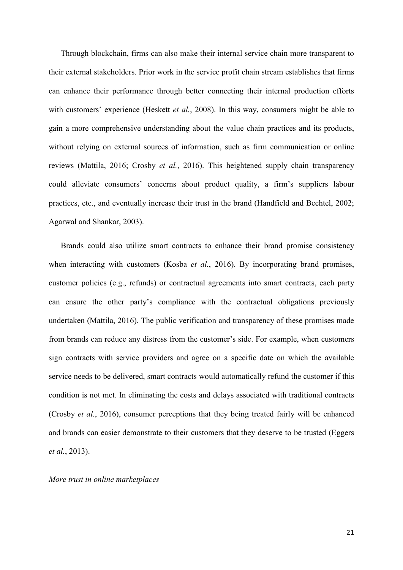Through blockchain, firms can also make their internal service chain more transparent to their external stakeholders. Prior work in the service profit chain stream establishes that firms can enhance their performance through better connecting their internal production efforts with customers' experience (Heskett *et al.*, 2008). In this way, consumers might be able to gain a more comprehensive understanding about the value chain practices and its products, without relying on external sources of information, such as firm communication or online reviews (Mattila, 2016; Crosby *et al.*, 2016). This heightened supply chain transparency could alleviate consumers' concerns about product quality, a firm's suppliers labour practices, etc., and eventually increase their trust in the brand (Handfield and Bechtel, 2002; Agarwal and Shankar, 2003).

Brands could also utilize smart contracts to enhance their brand promise consistency when interacting with customers (Kosba *et al.*, 2016). By incorporating brand promises, customer policies (e.g., refunds) or contractual agreements into smart contracts, each party can ensure the other party's compliance with the contractual obligations previously undertaken (Mattila, 2016). The public verification and transparency of these promises made from brands can reduce any distress from the customer's side. For example, when customers sign contracts with service providers and agree on a specific date on which the available service needs to be delivered, smart contracts would automatically refund the customer if this condition is not met. In eliminating the costs and delays associated with traditional contracts (Crosby *et al.*, 2016), consumer perceptions that they being treated fairly will be enhanced and brands can easier demonstrate to their customers that they deserve to be trusted (Eggers *et al.*, 2013).

#### *More trust in online marketplaces*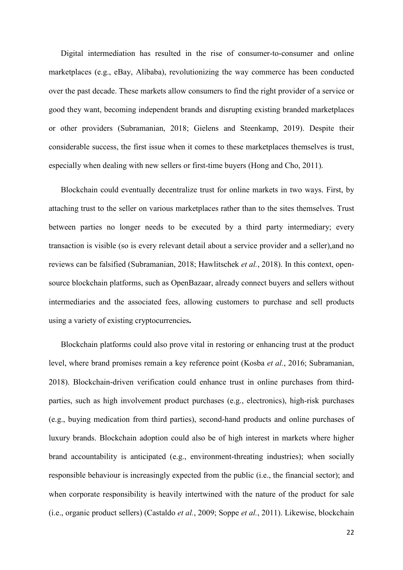Digital intermediation has resulted in the rise of consumer-to-consumer and online marketplaces (e.g., eBay, Alibaba), revolutionizing the way commerce has been conducted over the past decade. These markets allow consumers to find the right provider of a service or good they want, becoming independent brands and disrupting existing branded marketplaces or other providers (Subramanian, 2018; Gielens and Steenkamp, 2019). Despite their considerable success, the first issue when it comes to these marketplaces themselves is trust, especially when dealing with new sellers or first-time buyers (Hong and Cho, 2011).

Blockchain could eventually decentralize trust for online markets in two ways. First, by attaching trust to the seller on various marketplaces rather than to the sites themselves. Trust between parties no longer needs to be executed by a third party intermediary; every transaction is visible (so is every relevant detail about a service provider and a seller),and no reviews can be falsified (Subramanian, 2018; Hawlitschek *et al.*, 2018). In this context, opensource blockchain platforms, such as [OpenBazaar,](https://www.cbinsights.com/company/openbazaar) already connect buyers and sellers without intermediaries and the associated fees, allowing customers to purchase and sell products using a variety of existing cryptocurrencies**.**

Blockchain platforms could also prove vital in restoring or enhancing trust at the product level, where brand promises remain a key reference point (Kosba *et al.*, 2016; Subramanian, 2018). Blockchain-driven verification could enhance trust in online purchases from thirdparties, such as high involvement product purchases (e.g., electronics), high-risk purchases (e.g., buying medication from third parties), second-hand products and online purchases of luxury brands. Blockchain adoption could also be of high interest in markets where higher brand accountability is anticipated (e.g., environment-threating industries); when socially responsible behaviour is increasingly expected from the public (i.e., the financial sector); and when corporate responsibility is heavily intertwined with the nature of the product for sale (i.e., organic product sellers) (Castaldo *et al.*, 2009; Soppe *et al.*, 2011). Likewise, blockchain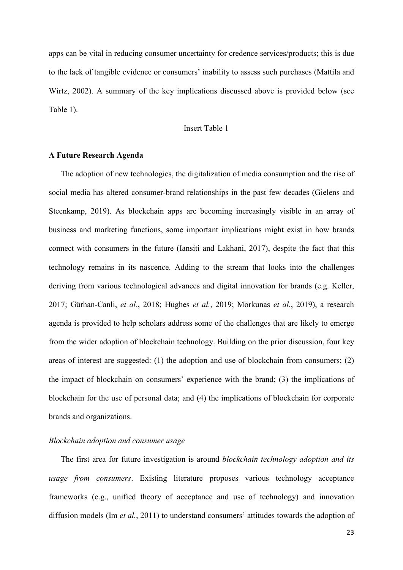apps can be vital in reducing consumer uncertainty for credence services/products; this is due to the lack of tangible evidence or consumers' inability to assess such purchases (Mattila and Wirtz, 2002). A summary of the key implications discussed above is provided below (see Table 1).

#### Insert Table 1

#### **A Future Research Agenda**

The adoption of new technologies, the digitalization of media consumption and the rise of social media has altered consumer-brand relationships in the past few decades (Gielens and Steenkamp, 2019). As blockchain apps are becoming increasingly visible in an array of business and marketing functions, some important implications might exist in how brands connect with consumers in the future (Iansiti and Lakhani, 2017), despite the fact that this technology remains in its nascence. Adding to the stream that looks into the challenges deriving from various technological advances and digital innovation for brands (e.g. Keller, 2017; Gürhan-Canli, *et al.*, 2018; Hughes *et al.*, 2019; Morkunas *et al.*, 2019), a research agenda is provided to help scholars address some of the challenges that are likely to emerge from the wider adoption of blockchain technology. Building on the prior discussion, four key areas of interest are suggested: (1) the adoption and use of blockchain from consumers; (2) the impact of blockchain on consumers' experience with the brand; (3) the implications of blockchain for the use of personal data; and (4) the implications of blockchain for corporate brands and organizations.

#### *Blockchain adoption and consumer usage*

The first area for future investigation is around *blockchain technology adoption and its usage from consumers*. Existing literature proposes various technology acceptance frameworks (e.g., unified theory of acceptance and use of technology) and innovation diffusion models (Im *et al.*, 2011) to understand consumers' attitudes towards the adoption of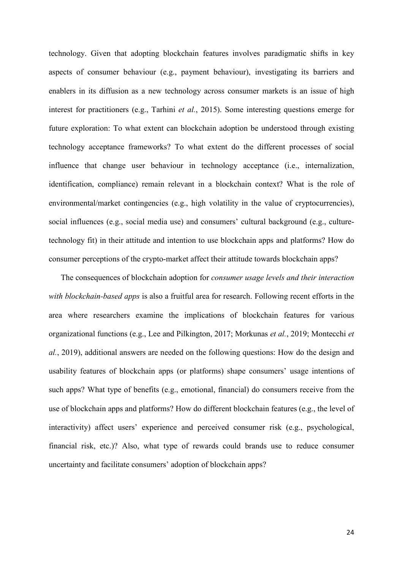technology. Given that adopting blockchain features involves paradigmatic shifts in key aspects of consumer behaviour (e.g., payment behaviour), investigating its barriers and enablers in its diffusion as a new technology across consumer markets is an issue of high interest for practitioners (e.g., Tarhini *et al.*, 2015). Some interesting questions emerge for future exploration: To what extent can blockchain adoption be understood through existing technology acceptance frameworks? To what extent do the different processes of social influence that change user behaviour in technology acceptance (i.e., internalization, identification, compliance) remain relevant in a blockchain context? What is the role of environmental/market contingencies (e.g., high volatility in the value of cryptocurrencies), social influences (e.g., social media use) and consumers' cultural background (e.g., culturetechnology fit) in their attitude and intention to use blockchain apps and platforms? How do consumer perceptions of the crypto-market affect their attitude towards blockchain apps?

The consequences of blockchain adoption for *consumer usage levels and their interaction with blockchain-based apps* is also a fruitful area for research. Following recent efforts in the area where researchers examine the implications of blockchain features for various organizational functions (e.g., Lee and Pilkington, 2017; Morkunas *et al.*, 2019; Montecchi *et al.*, 2019), additional answers are needed on the following questions: How do the design and usability features of blockchain apps (or platforms) shape consumers' usage intentions of such apps? What type of benefits (e.g., emotional, financial) do consumers receive from the use of blockchain apps and platforms? How do different blockchain features (e.g., the level of interactivity) affect users' experience and perceived consumer risk (e.g., psychological, financial risk, etc.)? Also, what type of rewards could brands use to reduce consumer uncertainty and facilitate consumers' adoption of blockchain apps?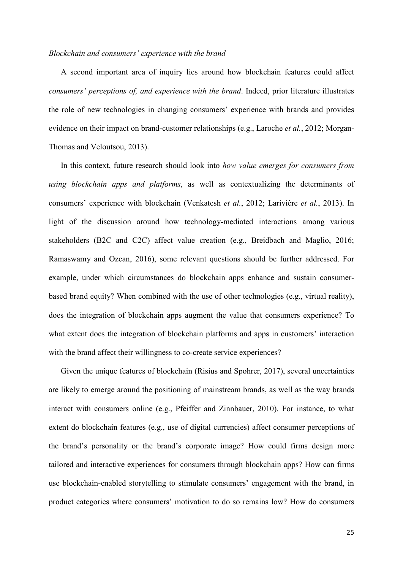#### *Blockchain and consumers' experience with the brand*

A second important area of inquiry lies around how blockchain features could affect *consumers' perceptions of, and experience with the brand*. Indeed, prior literature illustrates the role of new technologies in changing consumers' experience with brands and provides evidence on their impact on brand-customer relationships (e.g., Laroche *et al.*, 2012; Morgan-Thomas and Veloutsou, 2013).

In this context, future research should look into *how value emerges for consumers from using blockchain apps and platforms*, as well as contextualizing the determinants of consumers' experience with blockchain (Venkatesh *et al.*, 2012; Larivière *et al.*, 2013). In light of the discussion around how technology-mediated interactions among various stakeholders (B2C and C2C) affect value creation (e.g., Breidbach and Maglio, 2016; Ramaswamy and Ozcan, 2016), some relevant questions should be further addressed. For example, under which circumstances do blockchain apps enhance and sustain consumerbased brand equity? When combined with the use of other technologies (e.g., virtual reality), does the integration of blockchain apps augment the value that consumers experience? To what extent does the integration of blockchain platforms and apps in customers' interaction with the brand affect their willingness to co-create service experiences?

Given the unique features of blockchain (Risius and Spohrer, 2017), several uncertainties are likely to emerge around the positioning of mainstream brands, as well as the way brands interact with consumers online (e.g., Pfeiffer and Zinnbauer, 2010). For instance, to what extent do blockchain features (e.g., use of digital currencies) affect consumer perceptions of the brand's personality or the brand's corporate image? How could firms design more tailored and interactive experiences for consumers through blockchain apps? How can firms use blockchain-enabled storytelling to stimulate consumers' engagement with the brand, in product categories where consumers' motivation to do so remains low? How do consumers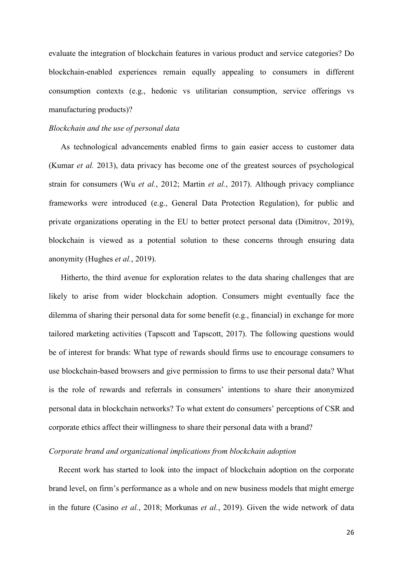evaluate the integration of blockchain features in various product and service categories? Do blockchain-enabled experiences remain equally appealing to consumers in different consumption contexts (e.g., hedonic vs utilitarian consumption, service offerings vs manufacturing products)?

#### *Blockchain and the use of personal data*

As technological advancements enabled firms to gain easier access to customer data (Kumar *et al.* 2013), data privacy has become one of the greatest sources of psychological strain for consumers (Wu *et al.*, 2012; Martin *et al.*, 2017). Although privacy compliance frameworks were introduced (e.g., General Data Protection Regulation), for public and private organizations operating in the EU to better protect personal data (Dimitrov, 2019), blockchain is viewed as a potential solution to these concerns through ensuring data anonymity (Hughes *et al.*, 2019).

Hitherto, the third avenue for exploration relates to the data sharing challenges that are likely to arise from wider blockchain adoption. Consumers might eventually face the dilemma of sharing their personal data for some benefit (e.g., financial) in exchange for more tailored marketing activities (Tapscott and Tapscott, 2017). The following questions would be of interest for brands: What type of rewards should firms use to encourage consumers to use blockchain-based browsers and give permission to firms to use their personal data? What is the role of rewards and referrals in consumers' intentions to share their anonymized personal data in blockchain networks? To what extent do consumers' perceptions of CSR and corporate ethics affect their willingness to share their personal data with a brand?

#### *Corporate brand and organizational implications from blockchain adoption*

Recent work has started to look into the impact of blockchain adoption on the corporate brand level, on firm's performance as a whole and on new business models that might emerge in the future (Casino *et al.*, 2018; Morkunas *et al.*, 2019). Given the wide network of data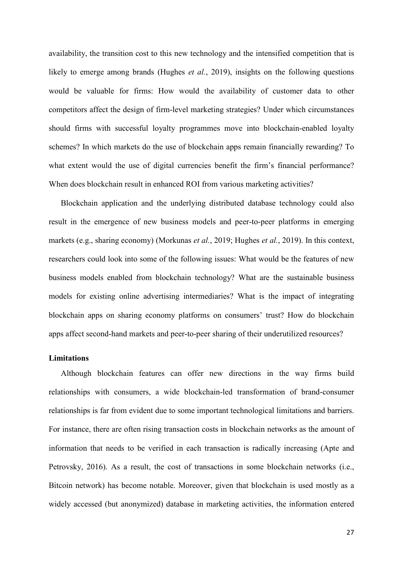availability, the transition cost to this new technology and the intensified competition that is likely to emerge among brands (Hughes *et al.*, 2019), insights on the following questions would be valuable for firms: How would the availability of customer data to other competitors affect the design of firm-level marketing strategies? Under which circumstances should firms with successful loyalty programmes move into blockchain-enabled loyalty schemes? In which markets do the use of blockchain apps remain financially rewarding? To what extent would the use of digital currencies benefit the firm's financial performance? When does blockchain result in enhanced ROI from various marketing activities?

Blockchain application and the underlying distributed database technology could also result in the emergence of new business models and peer-to-peer platforms in emerging markets (e.g., sharing economy) (Morkunas *et al.*, 2019; Hughes *et al.*, 2019). In this context, researchers could look into some of the following issues: What would be the features of new business models enabled from blockchain technology? What are the sustainable business models for existing online advertising intermediaries? What is the impact of integrating blockchain apps on sharing economy platforms on consumers' trust? How do blockchain apps affect second-hand markets and peer-to-peer sharing of their underutilized resources?

#### **Limitations**

Although blockchain features can offer new directions in the way firms build relationships with consumers, a wide blockchain-led transformation of brand-consumer relationships is far from evident due to some important technological limitations and barriers. For instance, there are often rising transaction costs in blockchain networks as the amount of information that needs to be verified in each transaction is radically increasing (Apte and Petrovsky, 2016). As a result, the cost of transactions in some blockchain networks (i.e., Bitcoin network) has become notable. Moreover, given that blockchain is used mostly as a widely accessed (but anonymized) database in marketing activities, the information entered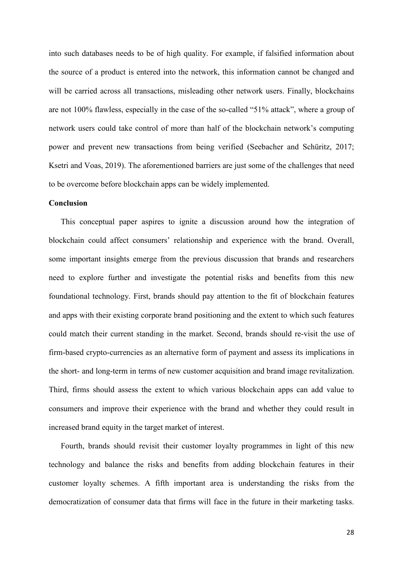into such databases needs to be of high quality. For example, if falsified information about the source of a product is entered into the network, this information cannot be changed and will be carried across all transactions, misleading other network users. Finally, blockchains are not 100% flawless, especially in the case of the so-called "51% attack", where a group of network users could take control of more than half of the blockchain network's computing power and prevent new transactions from being verified (Seebacher and Schüritz, 2017; Ksetri and Voas, 2019). The aforementioned barriers are just some of the challenges that need to be overcome before blockchain apps can be widely implemented.

#### **Conclusion**

This conceptual paper aspires to ignite a discussion around how the integration of blockchain could affect consumers' relationship and experience with the brand. Overall, some important insights emerge from the previous discussion that brands and researchers need to explore further and investigate the potential risks and benefits from this new foundational technology. First, brands should pay attention to the fit of blockchain features and apps with their existing corporate brand positioning and the extent to which such features could match their current standing in the market. Second, brands should re-visit the use of firm-based crypto-currencies as an alternative form of payment and assess its implications in the short- and long-term in terms of new customer acquisition and brand image revitalization. Third, firms should assess the extent to which various blockchain apps can add value to consumers and improve their experience with the brand and whether they could result in increased brand equity in the target market of interest.

Fourth, brands should revisit their customer loyalty programmes in light of this new technology and balance the risks and benefits from adding blockchain features in their customer loyalty schemes. A fifth important area is understanding the risks from the democratization of consumer data that firms will face in the future in their marketing tasks.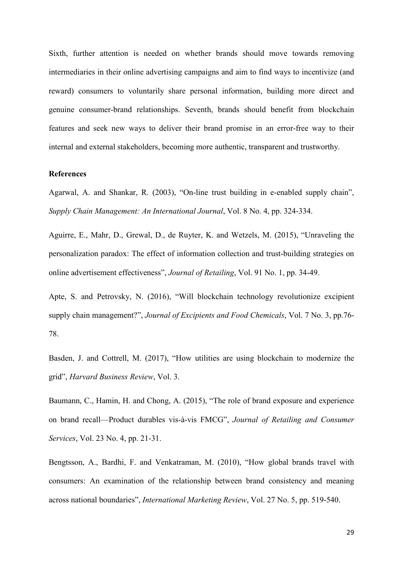Sixth, further attention is needed on whether brands should move towards removing intermediaries in their online advertising campaigns and aim to find ways to incentivize (and reward) consumers to voluntarily share personal information, building more direct and genuine consumer-brand relationships. Seventh, brands should benefit from blockchain features and seek new ways to deliver their brand promise in an error-free way to their internal and external stakeholders, becoming more authentic, transparent and trustworthy.

#### **References**

Agarwal, A. and Shankar, R. (2003), "On-line trust building in e-enabled supply chain", *Supply Chain Management: An International Journal*, Vol. 8 No. 4, pp. 324-334.

Aguirre, E., Mahr, D., Grewal, D., de Ruyter, K. and Wetzels, M. (2015), "Unraveling the personalization paradox: The effect of information collection and trust-building strategies on online advertisement effectiveness", *Journal of Retailing*, Vol. 91 No. 1, pp. 34-49.

Apte, S. and Petrovsky, N. (2016), "Will blockchain technology revolutionize excipient supply chain management?", *Journal of Excipients and Food Chemicals*, Vol. 7 No. 3, pp.76- 78.

Basden, J. and Cottrell, M. (2017), "How utilities are using blockchain to modernize the grid", *Harvard Business Review*, Vol. 3.

Baumann, C., Hamin, H. and Chong, A. (2015), "The role of brand exposure and experience on brand recall—Product durables vis-à-vis FMCG", *Journal of Retailing and Consumer Services*, Vol. 23 No. 4, pp. 21-31.

Bengtsson, A., Bardhi, F. and Venkatraman, M. (2010), "How global brands travel with consumers: An examination of the relationship between brand consistency and meaning across national boundaries", *International Marketing Review*, Vol. 27 No. 5, pp. 519-540.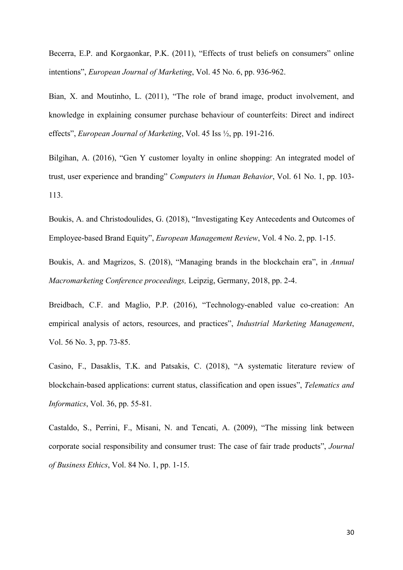Becerra, E.P. and Korgaonkar, P.K. (2011), "Effects of trust beliefs on consumers" online intentions", *European Journal of Marketing*, Vol. 45 No. 6, pp. 936-962.

Bian, X. and Moutinho, L. (2011), "The role of brand image, product involvement, and knowledge in explaining consumer purchase behaviour of counterfeits: Direct and indirect effects", *European Journal of Marketing*, Vol. 45 Iss ½, pp. 191-216.

Bilgihan, A. (2016), "Gen Y customer loyalty in online shopping: An integrated model of trust, user experience and branding" *Computers in Human Behavior*, Vol. 61 No. 1, pp. 103- 113.

Boukis, A. and Christodoulides, G. (2018), "Investigating Key Antecedents and Outcomes of Employee‐based Brand Equity", *European Management Review*, Vol. 4 No. 2, pp. 1-15.

Boukis, A. and Magrizos, S. (2018), "Managing brands in the blockchain era", in *Annual Macromarketing Conference proceedings,* Leipzig, Germany, 2018, pp. 2-4.

Breidbach, C.F. and Maglio, P.P. (2016), "Technology-enabled value co-creation: An empirical analysis of actors, resources, and practices", *Industrial Marketing Management*, Vol. 56 No. 3, pp. 73-85.

Casino, F., Dasaklis, T.K. and Patsakis, C. (2018), "A systematic literature review of blockchain-based applications: current status, classification and open issues", *Telematics and Informatics*, Vol. 36, pp. 55-81.

Castaldo, S., Perrini, F., Misani, N. and Tencati, A. (2009), "The missing link between corporate social responsibility and consumer trust: The case of fair trade products", *Journal of Business Ethics*, Vol. 84 No. 1, pp. 1-15.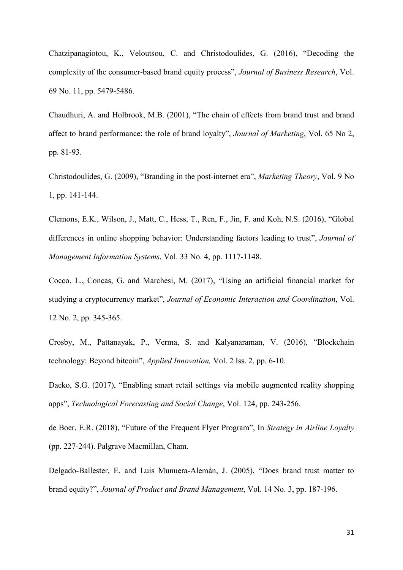Chatzipanagiotou, K., Veloutsou, C. and Christodoulides, G. (2016), "Decoding the complexity of the consumer-based brand equity process", *Journal of Business Research*, Vol. 69 No. 11, pp. 5479-5486.

Chaudhuri, A. and Holbrook, M.B. (2001), "The chain of effects from brand trust and brand affect to brand performance: the role of brand loyalty", *Journal of Marketing*, Vol. 65 No 2, pp. 81-93.

Christodoulides, G. (2009), "Branding in the post-internet era", *Marketing Theory*, Vol. 9 No 1, pp. 141-144.

Clemons, E.K., Wilson, J., Matt, C., Hess, T., Ren, F., Jin, F. and Koh, N.S. (2016), "Global differences in online shopping behavior: Understanding factors leading to trust", *Journal of Management Information Systems*, Vol. 33 No. 4, pp. 1117-1148.

Cocco, L., Concas, G. and Marchesi, M. (2017), "Using an artificial financial market for studying a cryptocurrency market", *Journal of Economic Interaction and Coordination*, Vol. 12 No. 2, pp. 345-365.

Crosby, M., Pattanayak, P., Verma, S. and Kalyanaraman, V. (2016), "Blockchain technology: Beyond bitcoin", *Applied Innovation,* Vol. 2 Iss. 2, pp. 6-10.

Dacko, S.G. (2017), "Enabling smart retail settings via mobile augmented reality shopping apps", *Technological Forecasting and Social Change*, Vol. 124, pp. 243-256.

de Boer, E.R. (2018), "Future of the Frequent Flyer Program", In *Strategy in Airline Loyalty* (pp. 227-244). Palgrave Macmillan, Cham.

Delgado-Ballester, E. and Luis Munuera-Alemán, J. (2005), "Does brand trust matter to brand equity?", *Journal of Product and Brand Management*, Vol. 14 No. 3, pp. 187-196.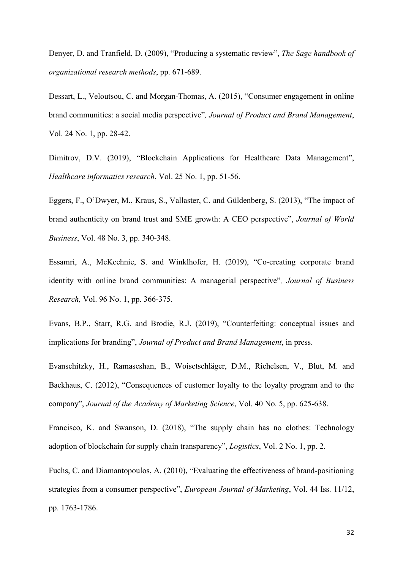Denyer, D. and Tranfield, D. (2009), "Producing a systematic review", *The Sage handbook of organizational research methods*, pp. 671-689.

Dessart, L., Veloutsou, C. and Morgan-Thomas, A. (2015), "Consumer engagement in online brand communities: a social media perspective"*, Journal of Product and Brand Management*, Vol. 24 No. 1, pp. 28-42.

Dimitrov, D.V. (2019), "Blockchain Applications for Healthcare Data Management", *Healthcare informatics research*, Vol. 25 No. 1, pp. 51-56.

Eggers, F., O'Dwyer, M., Kraus, S., Vallaster, C. and Güldenberg, S. (2013), "The impact of brand authenticity on brand trust and SME growth: A CEO perspective", *Journal of World Business*, Vol. 48 No. 3, pp. 340-348.

Essamri, A., McKechnie, S. and Winklhofer, H. (2019), "Co-creating corporate brand identity with online brand communities: A managerial perspective"*, Journal of Business Research,* Vol. 96 No. 1, pp. 366-375.

Evans, B.P., Starr, R.G. and Brodie, R.J. (2019), "Counterfeiting: conceptual issues and implications for branding", *Journal of Product and Brand Management*, in press.

Evanschitzky, H., Ramaseshan, B., Woisetschläger, D.M., Richelsen, V., Blut, M. and Backhaus, C. (2012), "Consequences of customer loyalty to the loyalty program and to the company", *Journal of the Academy of Marketing Science*, Vol. 40 No. 5, pp. 625-638.

Francisco, K. and Swanson, D. (2018), "The supply chain has no clothes: Technology adoption of blockchain for supply chain transparency", *Logistics*, Vol. 2 No. 1, pp. 2.

Fuchs, C. and Diamantopoulos, A. (2010), "Evaluating the effectiveness of brand-positioning strategies from a consumer perspective", *European Journal of Marketing*, Vol. 44 Iss. 11/12, pp. 1763-1786.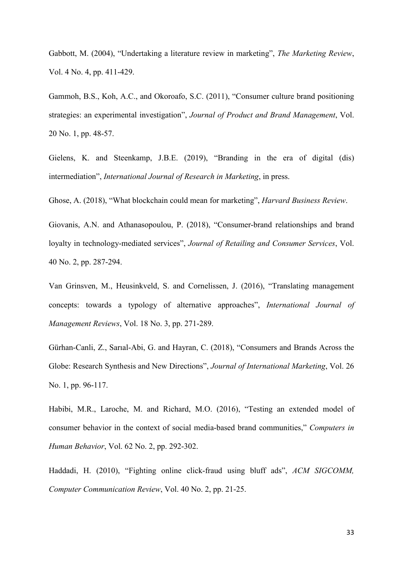Gabbott, M. (2004), "Undertaking a literature review in marketing", *The Marketing Review*, Vol. 4 No. 4, pp. 411-429.

Gammoh, B.S., Koh, A.C., and Okoroafo, S.C. (2011), "Consumer culture brand positioning strategies: an experimental investigation", *Journal of Product and Brand Management*, Vol. 20 No. 1, pp. 48-57.

Gielens, K. and Steenkamp, J.B.E. (2019), "Branding in the era of digital (dis) intermediation", *International Journal of Research in Marketing*, in press.

Ghose, A. (2018), "What blockchain could mean for marketing", *Harvard Business Review*.

Giovanis, A.N. and Athanasopoulou, P. (2018), "Consumer-brand relationships and brand loyalty in technology-mediated services", *Journal of Retailing and Consumer Services*, Vol. 40 No. 2, pp. 287-294.

Van Grinsven, M., Heusinkveld, S. and Cornelissen, J. (2016), "Translating management concepts: towards a typology of alternative approaches", *International Journal of Management Reviews*, Vol. 18 No. 3, pp. 271-289.

Gürhan-Canli, Z., Sarıal-Abi, G. and Hayran, C. (2018), "Consumers and Brands Across the Globe: Research Synthesis and New Directions", *Journal of International Marketing*, Vol. 26 No. 1, pp. 96-117.

Habibi, M.R., Laroche, M. and Richard, M.O. (2016), "Testing an extended model of consumer behavior in the context of social media-based brand communities," *Computers in Human Behavior*, Vol. 62 No. 2, pp. 292-302.

Haddadi, H. (2010), "Fighting online click-fraud using bluff ads", *ACM SIGCOMM, Computer Communication Review*, Vol. 40 No. 2, pp. 21-25.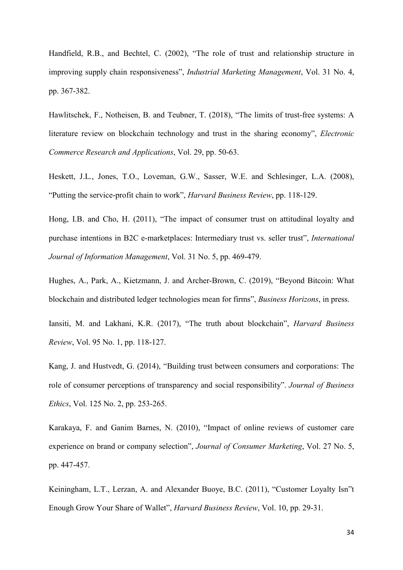Handfield, R.B., and Bechtel, C. (2002), "The role of trust and relationship structure in improving supply chain responsiveness", *Industrial Marketing Management*, Vol. 31 No. 4, pp. 367-382.

Hawlitschek, F., Notheisen, B. and Teubner, T. (2018), "The limits of trust-free systems: A literature review on blockchain technology and trust in the sharing economy", *Electronic Commerce Research and Applications*, Vol. 29, pp. 50-63.

Heskett, J.L., Jones, T.O., Loveman, G.W., Sasser, W.E. and Schlesinger, L.A. (2008), "Putting the service-profit chain to work", *Harvard Business Review*, pp. 118-129.

Hong, I.B. and Cho, H. (2011), "The impact of consumer trust on attitudinal loyalty and purchase intentions in B2C e-marketplaces: Intermediary trust vs. seller trust", *International Journal of Information Management*, Vol. 31 No. 5, pp. 469-479.

Hughes, A., Park, A., Kietzmann, J. and Archer-Brown, C. (2019), "Beyond Bitcoin: What blockchain and distributed ledger technologies mean for firms", *Business Horizons*, in press.

Iansiti, M. and Lakhani, K.R. (2017), "The truth about blockchain", *Harvard Business Review*, Vol. 95 No. 1, pp. 118-127.

Kang, J. and Hustvedt, G. (2014), "Building trust between consumers and corporations: The role of consumer perceptions of transparency and social responsibility". *Journal of Business Ethics*, Vol. 125 No. 2, pp. 253-265.

Karakaya, F. and Ganim Barnes, N. (2010), "Impact of online reviews of customer care experience on brand or company selection", *Journal of Consumer Marketing*, Vol. 27 No. 5, pp. 447-457.

Keiningham, L.T., Lerzan, A. and Alexander Buoye, B.C. (2011), "Customer Loyalty Isn"t Enough Grow Your Share of Wallet", *Harvard Business Review*, Vol. 10, pp. 29-31.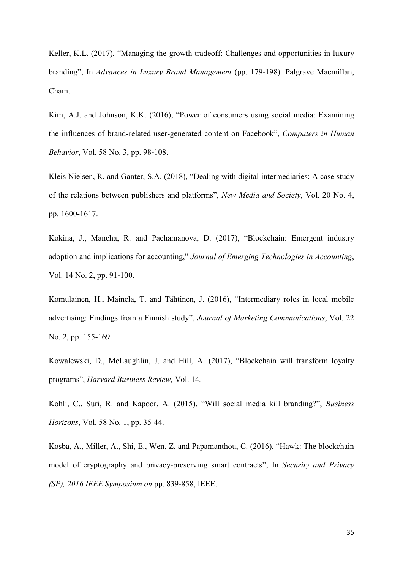Keller, K.L. (2017), "Managing the growth tradeoff: Challenges and opportunities in luxury branding", In *Advances in Luxury Brand Management* (pp. 179-198). Palgrave Macmillan, Cham.

Kim, A.J. and Johnson, K.K. (2016), "Power of consumers using social media: Examining the influences of brand-related user-generated content on Facebook", *Computers in Human Behavior*, Vol. 58 No. 3, pp. 98-108.

Kleis Nielsen, R. and Ganter, S.A. (2018), "Dealing with digital intermediaries: A case study of the relations between publishers and platforms", *New Media and Society*, Vol. 20 No. 4, pp. 1600-1617.

Kokina, J., Mancha, R. and Pachamanova, D. (2017), "Blockchain: Emergent industry adoption and implications for accounting," *Journal of Emerging Technologies in Accounting*, Vol. 14 No. 2, pp. 91-100.

Komulainen, H., Mainela, T. and Tähtinen, J. (2016), "Intermediary roles in local mobile advertising: Findings from a Finnish study", *Journal of Marketing Communications*, Vol. 22 No. 2, pp. 155-169.

Kowalewski, D., McLaughlin, J. and Hill, A. (2017), "Blockchain will transform loyalty programs", *Harvard Business Review,* Vol. 14*.*

Kohli, C., Suri, R. and Kapoor, A. (2015), "Will social media kill branding?", *Business Horizons*, Vol. 58 No. 1, pp. 35-44.

Kosba, A., Miller, A., Shi, E., Wen, Z. and Papamanthou, C. (2016), "Hawk: The blockchain model of cryptography and privacy-preserving smart contracts", In *Security and Privacy (SP), 2016 IEEE Symposium on* pp. 839-858, IEEE.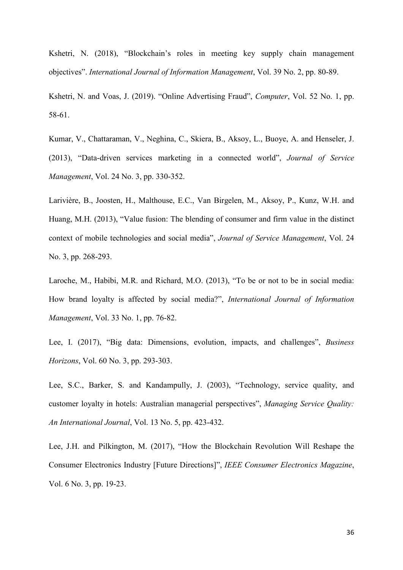Kshetri, N. (2018), "Blockchain's roles in meeting key supply chain management objectives". *International Journal of Information Management*, Vol. 39 No. 2, pp. 80-89.

Kshetri, N. and Voas, J. (2019). "Online Advertising Fraud", *Computer*, Vol. 52 No. 1, pp. 58-61.

Kumar, V., Chattaraman, V., Neghina, C., Skiera, B., Aksoy, L., Buoye, A. and Henseler, J. (2013), "Data-driven services marketing in a connected world", *Journal of Service Management*, Vol. 24 No. 3, pp. 330-352.

Larivière, B., Joosten, H., Malthouse, E.C., Van Birgelen, M., Aksoy, P., Kunz, W.H. and Huang, M.H. (2013), "Value fusion: The blending of consumer and firm value in the distinct context of mobile technologies and social media", *Journal of Service Management*, Vol. 24 No. 3, pp. 268-293.

Laroche, M., Habibi, M.R. and Richard, M.O. (2013), "To be or not to be in social media: How brand loyalty is affected by social media?", *International Journal of Information Management*, Vol. 33 No. 1, pp. 76-82.

Lee, I. (2017), "Big data: Dimensions, evolution, impacts, and challenges", *Business Horizons*, Vol. 60 No. 3, pp. 293-303.

Lee, S.C., Barker, S. and Kandampully, J. (2003), "Technology, service quality, and customer loyalty in hotels: Australian managerial perspectives", *Managing Service Quality: An International Journal*, Vol. 13 No. 5, pp. 423-432.

Lee, J.H. and Pilkington, M. (2017), "How the Blockchain Revolution Will Reshape the Consumer Electronics Industry [Future Directions]", *IEEE Consumer Electronics Magazine*, Vol. 6 No. 3, pp. 19-23.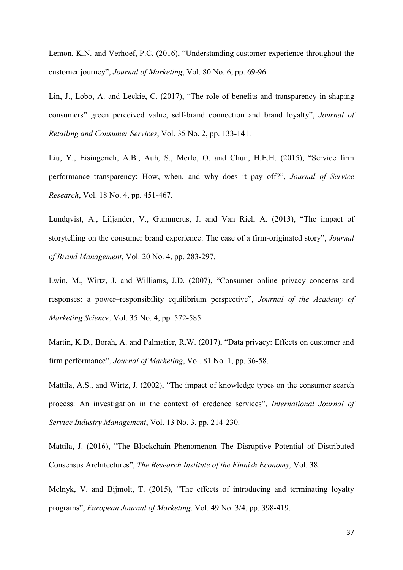Lemon, K.N. and Verhoef, P.C. (2016), "Understanding customer experience throughout the customer journey", *Journal of Marketing*, Vol. 80 No. 6, pp. 69-96.

Lin, J., Lobo, A. and Leckie, C. (2017), "The role of benefits and transparency in shaping consumers" green perceived value, self-brand connection and brand loyalty", *Journal of Retailing and Consumer Services*, Vol. 35 No. 2, pp. 133-141.

Liu, Y., Eisingerich, A.B., Auh, S., Merlo, O. and Chun, H.E.H. (2015), "Service firm performance transparency: How, when, and why does it pay off?", *Journal of Service Research*, Vol. 18 No. 4, pp. 451-467.

Lundqvist, A., Liljander, V., Gummerus, J. and Van Riel, A. (2013), "The impact of storytelling on the consumer brand experience: The case of a firm-originated story", *Journal of Brand Management*, Vol. 20 No. 4, pp. 283-297.

Lwin, M., Wirtz, J. and Williams, J.D. (2007), "Consumer online privacy concerns and responses: a power–responsibility equilibrium perspective", *Journal of the Academy of Marketing Science*, Vol. 35 No. 4, pp. 572-585.

Martin, K.D., Borah, A. and Palmatier, R.W. (2017), "Data privacy: Effects on customer and firm performance", *Journal of Marketing*, Vol. 81 No. 1, pp. 36-58.

Mattila, A.S., and Wirtz, J. (2002), "The impact of knowledge types on the consumer search process: An investigation in the context of credence services", *International Journal of Service Industry Management*, Vol. 13 No. 3, pp. 214-230.

Mattila, J. (2016), "The Blockchain Phenomenon–The Disruptive Potential of Distributed Consensus Architectures", *The Research Institute of the Finnish Economy,* Vol. 38.

Melnyk, V. and Bijmolt, T. (2015), "The effects of introducing and terminating loyalty programs", *European Journal of Marketing*, Vol. 49 No. 3/4, pp. 398-419.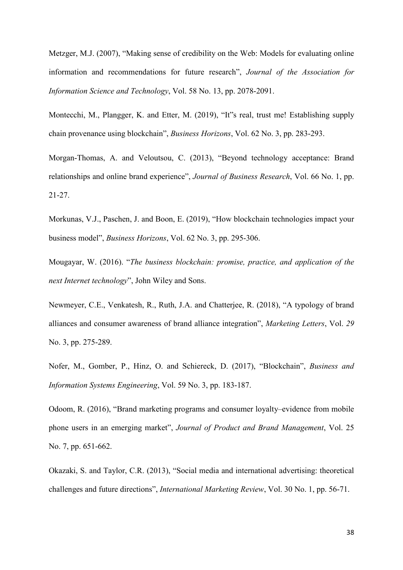Metzger, M.J. (2007), "Making sense of credibility on the Web: Models for evaluating online information and recommendations for future research", *Journal of the Association for Information Science and Technology*, Vol. 58 No. 13, pp. 2078-2091.

Montecchi, M., Plangger, K. and Etter, M. (2019), "It"s real, trust me! Establishing supply chain provenance using blockchain", *Business Horizons*, Vol. 62 No. 3, pp. 283-293.

Morgan-Thomas, A. and Veloutsou, C. (2013), "Beyond technology acceptance: Brand relationships and online brand experience", *Journal of Business Research*, Vol. 66 No. 1, pp. 21-27.

Morkunas, V.J., Paschen, J. and Boon, E. (2019), "How blockchain technologies impact your business model", *Business Horizons*, Vol. 62 No. 3, pp. 295-306.

Mougayar, W. (2016). "*The business blockchain: promise, practice, and application of the next Internet technology*", John Wiley and Sons.

Newmeyer, C.E., Venkatesh, R., Ruth, J.A. and Chatterjee, R. (2018), "A typology of brand alliances and consumer awareness of brand alliance integration", *Marketing Letters*, Vol. *29* No. 3, pp. 275-289.

Nofer, M., Gomber, P., Hinz, O. and Schiereck, D. (2017), "Blockchain", *Business and Information Systems Engineering*, Vol. 59 No. 3, pp. 183-187.

Odoom, R. (2016), "Brand marketing programs and consumer loyalty–evidence from mobile phone users in an emerging market", *Journal of Product and Brand Management*, Vol. 25 No. 7, pp. 651-662.

Okazaki, S. and Taylor, C.R. (2013), "Social media and international advertising: theoretical challenges and future directions", *International Marketing Review*, Vol. 30 No. 1, pp. 56-71.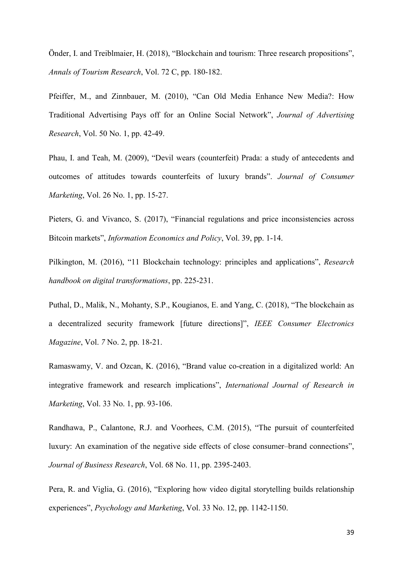Önder, I. and Treiblmaier, H. (2018), "Blockchain and tourism: Three research propositions", *Annals of Tourism Research*, Vol. 72 C, pp. 180-182.

Pfeiffer, M., and Zinnbauer, M. (2010), "Can Old Media Enhance New Media?: How Traditional Advertising Pays off for an Online Social Network", *Journal of Advertising Research*, Vol. 50 No. 1, pp. 42-49.

Phau, I. and Teah, M. (2009), "Devil wears (counterfeit) Prada: a study of antecedents and outcomes of attitudes towards counterfeits of luxury brands". *Journal of Consumer Marketing*, Vol. 26 No. 1, pp. 15-27.

Pieters, G. and Vivanco, S. (2017), "Financial regulations and price inconsistencies across Bitcoin markets", *Information Economics and Policy*, Vol. 39, pp. 1-14.

Pilkington, M. (2016), "11 Blockchain technology: principles and applications", *Research handbook on digital transformations*, pp. 225-231.

Puthal, D., Malik, N., Mohanty, S.P., Kougianos, E. and Yang, C. (2018), "The blockchain as a decentralized security framework [future directions]", *IEEE Consumer Electronics Magazine*, Vol. *7* No. 2, pp. 18-21.

Ramaswamy, V. and Ozcan, K. (2016), "Brand value co-creation in a digitalized world: An integrative framework and research implications", *International Journal of Research in Marketing*, Vol. 33 No. 1, pp. 93-106.

Randhawa, P., Calantone, R.J. and Voorhees, C.M. (2015), "The pursuit of counterfeited luxury: An examination of the negative side effects of close consumer–brand connections", *Journal of Business Research*, Vol. 68 No. 11, pp. 2395-2403.

Pera, R. and Viglia, G. (2016), "Exploring how video digital storytelling builds relationship experiences", *Psychology and Marketing*, Vol. 33 No. 12, pp. 1142-1150.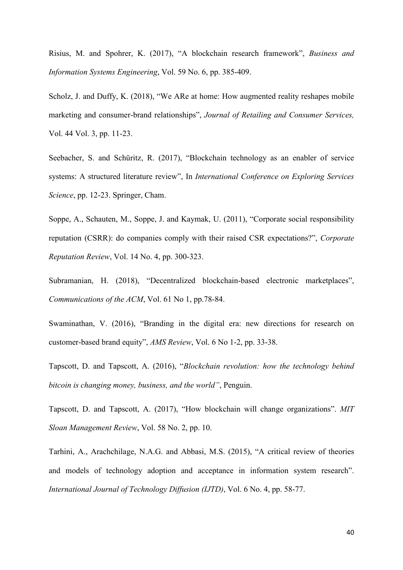Risius, M. and Spohrer, K. (2017), "A blockchain research framework", *Business and Information Systems Engineering*, Vol. 59 No. 6, pp. 385-409.

Scholz, J. and Duffy, K. (2018), "We ARe at home: How augmented reality reshapes mobile marketing and consumer-brand relationships", *Journal of Retailing and Consumer Services,* Vol. 44 Vol. 3, pp. 11-23.

Seebacher, S. and Schüritz, R. (2017), "Blockchain technology as an enabler of service systems: A structured literature review", In *International Conference on Exploring Services Science*, pp. 12-23. Springer, Cham.

Soppe, A., Schauten, M., Soppe, J. and Kaymak, U. (2011), "Corporate social responsibility reputation (CSRR): do companies comply with their raised CSR expectations?", *Corporate Reputation Review*, Vol. 14 No. 4, pp. 300-323.

Subramanian, H. (2018), "Decentralized blockchain-based electronic marketplaces", *Communications of the ACM*, Vol. 61 No 1, pp.78-84.

Swaminathan, V. (2016), "Branding in the digital era: new directions for research on customer-based brand equity", *AMS Review*, Vol. 6 No 1-2, pp. 33-38.

Tapscott, D. and Tapscott, A. (2016), "*Blockchain revolution: how the technology behind bitcoin is changing money, business, and the world"*, Penguin.

Tapscott, D. and Tapscott, A. (2017), "How blockchain will change organizations". *MIT Sloan Management Review*, Vol. 58 No. 2, pp. 10.

Tarhini, A., Arachchilage, N.A.G. and Abbasi, M.S. (2015), "A critical review of theories and models of technology adoption and acceptance in information system research". *International Journal of Technology Diffusion (IJTD)*, Vol. 6 No. 4, pp. 58-77.